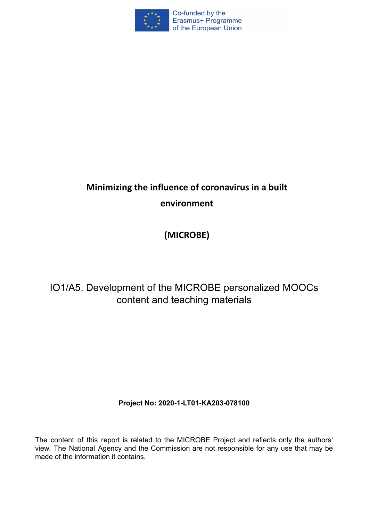

# **Minimizing the influence of coronavirus in a built environment**

## **(MICROBE)**

## IO1/A5. Development of the MICROBE personalized MOOCs content and teaching materials

### **Project No: 2020-1-LT01-KA203-078100**

The content of this report is related to the MICROBE Project and reflects only the authors' view. The National Agency and the Commission are not responsible for any use that may be made of the information it contains.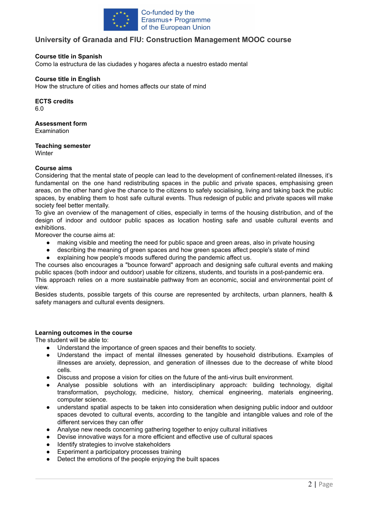

#### **University of Granada and FIU: Construction Management MOOC course**

#### **Course title in Spanish**

Como la estructura de las ciudades y hogares afecta a nuestro estado mental

#### **Course title in English**

How the structure of cities and homes affects our state of mind

**ECTS credits**

6.0

#### **Assessment form**

**Examination** 

#### **Teaching semester**

**Winter** 

#### **Course aims**

Considering that the mental state of people can lead to the development of confinement-related illnesses, it's fundamental on the one hand redistributing spaces in the public and private spaces, emphasising green areas, on the other hand give the chance to the citizens to safely socialising, living and taking back the public spaces, by enabling them to host safe cultural events. Thus redesign of public and private spaces will make society feel better mentally.

To give an overview of the management of cities, especially in terms of the housing distribution, and of the design of indoor and outdoor public spaces as location hosting safe and usable cultural events and exhibitions.

Moreover the course aims at:

- making visible and meeting the need for public space and green areas, also in private housing
- describing the meaning of green spaces and how green spaces affect people's state of mind
- explaining how people's moods suffered during the pandemic affect us.

The courses also encourages a "bounce forward" approach and designing safe cultural events and making public spaces (both indoor and outdoor) usable for citizens, students, and tourists in a post-pandemic era. This approach relies on a more sustainable pathway from an economic, social and environmental point of view.

Besides students, possible targets of this course are represented by architects, urban planners, health & safety managers and cultural events designers.

#### **Learning outcomes in the course**

The student will be able to:

- Understand the importance of green spaces and their benefits to society.
- Understand the impact of mental illnesses generated by household distributions. Examples of illnesses are anxiety, depression, and generation of illnesses due to the decrease of white blood cells.
- Discuss and propose a vision for cities on the future of the anti-virus built environment.
- Analyse possible solutions with an interdisciplinary approach: building technology, digital transformation, psychology, medicine, history, chemical engineering, materials engineering, computer science.
- understand spatial aspects to be taken into consideration when designing public indoor and outdoor spaces devoted to cultural events, according to the tangible and intangible values and role of the different services they can offer
- Analyse new needs concerning gathering together to enjoy cultural initiatives
- Devise innovative ways for a more efficient and effective use of cultural spaces
- Identify strategies to involve stakeholders
- Experiment a participatory processes training
- Detect the emotions of the people enjoying the built spaces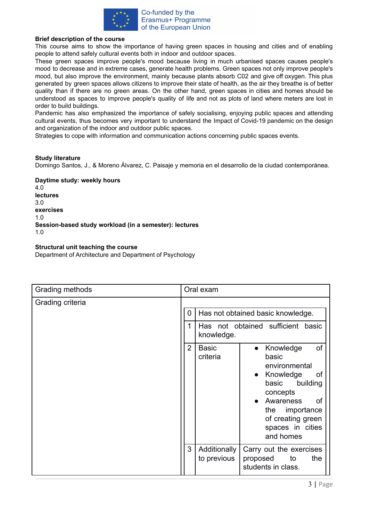

#### **Brief description of the course**

This course aims to show the importance of having green spaces in housing and cities and of enabling people to attend safely cultural events both in indoor and outdoor spaces.

These green spaces improve people's mood because living in much urbanised spaces causes people's mood to decrease and in extreme cases, generate health problems. Green spaces not only improve people's mood, but also improve the environment, mainly because plants absorb C02 and give off oxygen. This plus generated by green spaces allows citizens to improve their state of health, as the air they breathe is of better quality than if there are no green areas. On the other hand, green spaces in cities and homes should be understood as spaces to improve people's quality of life and not as plots of land where meters are lost in order to build buildings.

Pandemic has also emphasized the importance of safely socialising, enjoying public spaces and attending cultural events, thus becomes very important to understand the Impact of Covid-19 pandemic on the design and organization of the indoor and outdoor public spaces.

Strategies to cope with information and communication actions concerning public spaces events.

#### **Study literature**

Domingo Santos, J., & Moreno Álvarez, C. Paisaje y memoria en el desarrollo de la ciudad contemporánea.

**Daytime study: weekly hours** 4.0 **lectures** 3.0 **exercises** 1.0 **Session-based study workload (in a semester): lectures** 1.0

#### **Structural unit teaching the course**

Department of Architecture and Department of Psychology

| Grading methods  | Oral exam                                                                                                                                                                                                                                                                  |
|------------------|----------------------------------------------------------------------------------------------------------------------------------------------------------------------------------------------------------------------------------------------------------------------------|
| Grading criteria | 0<br>Has not obtained basic knowledge.<br>Has not obtained sufficient basic<br>knowledge.                                                                                                                                                                                  |
|                  | $\overline{2}$<br>of<br><b>Basic</b><br>Knowledge<br>$\bullet$<br>criteria<br>basic<br>environmental<br>Knowledge<br>0f<br>$\bullet$<br>basic<br>building<br>concepts<br>Awareness<br><b>of</b><br>importance<br>the<br>of creating green<br>spaces in cities<br>and homes |
|                  | 3<br>Additionally<br>Carry out the exercises<br>to previous<br>proposed<br>the<br>to<br>students in class.                                                                                                                                                                 |